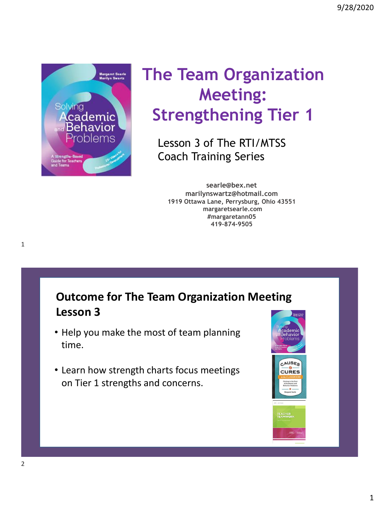

# **The Team Organization Meeting: Strengthening Tier 1**

Lesson 3 of The RTI/MTSS Coach Training Series

**searle@bex.net marilynswartz@hotmail.com 1919 Ottawa Lane, Perrysburg, Ohio 43551 margaretsearle.com #margaretann05 419-874-9505**

**Outcome for The Team Organization Meeting Lesson 3**

- Help you make the most of team planning time.
- Learn how strength charts focus meetings on Tier 1 strengths and concerns.



1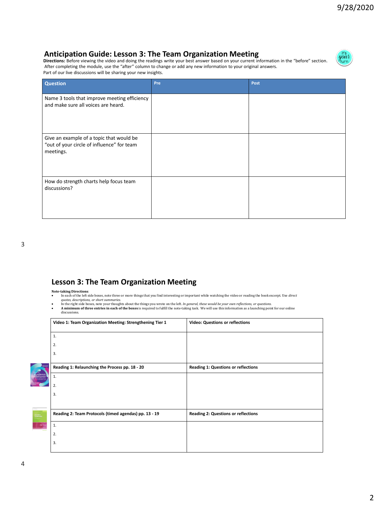#### **Anticipation Guide: Lesson 3: The Team Organization Meeting**

**Directions:** Before viewing the video and doing the readings write your best answer based on your current information in the "before" section. After completing the module, use the "after" column to change or add any new information to your original answers. Part of our live discussions will be sharing your new insights.



| <b>Question</b>                                                                                     | Pre | Post |
|-----------------------------------------------------------------------------------------------------|-----|------|
| Name 3 tools that improve meeting efficiency<br>and make sure all voices are heard.                 |     |      |
| Give an example of a topic that would be<br>"out of your circle of influence" for team<br>meetings. |     |      |
| How do strength charts help focus team<br>discussions?                                              |     |      |

#### **Lesson 3: The Team Organization Meeting**

- **Note-taking Directions**: In each of the left side boxes, note three or more things that you find interesting or important while watching the video or reading the book excerpt. Use *direct quotes, descriptions, or short summaries.*
- In the right side boxes, note your thoughts about the things you wrote on the left. *In general, these would be your own reflections, or questions.*<br>• **A minimum of three entries in each of the boxes** is required to fulf
- discussions.

|       | Video 1: Team Organization Meeting: Strengthening Tier 1 | Video: Questions or reflections            |
|-------|----------------------------------------------------------|--------------------------------------------|
|       | 1.                                                       |                                            |
|       | 2.                                                       |                                            |
|       | 3.                                                       |                                            |
|       |                                                          |                                            |
|       | Reading 1: Relaunching the Process pp. 18 - 20           | <b>Reading 1: Questions or reflections</b> |
| demic | 1.                                                       |                                            |
|       | 2.                                                       |                                            |
|       | 3.                                                       |                                            |
|       |                                                          |                                            |
|       | Reading 2: Team Protocols (timed agendas) pp. 13 - 19    | <b>Reading 2: Questions or reflections</b> |
|       | 1.                                                       |                                            |
|       | 2.                                                       |                                            |
|       | 3.                                                       |                                            |
|       |                                                          |                                            |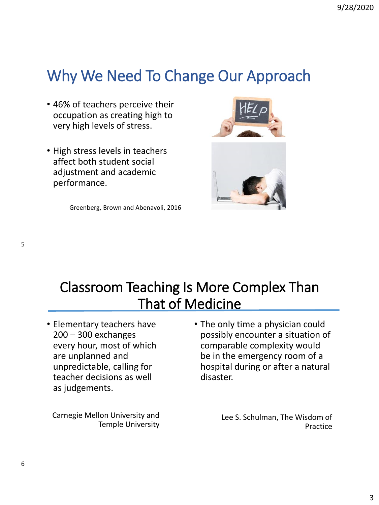# Why We Need To Change Our Approach

- 46% of teachers perceive their occupation as creating high to very high levels of stress.
- High stress levels in teachers affect both student social adjustment and academic performance.

Greenberg, Brown and Abenavoli, 2016





### Classroom Teaching Is More Complex Than That of Medicine

• Elementary teachers have 200 – 300 exchanges every hour, most of which are unplanned and unpredictable, calling for teacher decisions as well as judgements.

Carnegie Mellon University and Temple University

• The only time a physician could possibly encounter a situation of comparable complexity would be in the emergency room of a hospital during or after a natural disaster.

> Lee S. Schulman, The Wisdom of Practice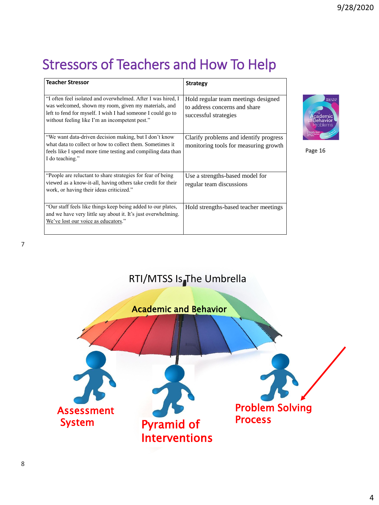## Stressors of Teachers and How To Help

| <b>Teacher Stressor</b>                                                                                                                                                                                                               | <b>Strategy</b>                                                                               |
|---------------------------------------------------------------------------------------------------------------------------------------------------------------------------------------------------------------------------------------|-----------------------------------------------------------------------------------------------|
| "I often feel isolated and overwhelmed. After I was hired, I<br>was welcomed, shown my room, given my materials, and<br>left to fend for myself. I wish I had someone I could go to<br>without feeling like I'm an incompetent pest." | Hold regular team meetings designed<br>to address concerns and share<br>successful strategies |
| "We want data-driven decision making, but I don't know<br>what data to collect or how to collect them. Sometimes it<br>feels like I spend more time testing and compiling data than<br>I do teaching."                                | Clarify problems and identify progress<br>monitoring tools for measuring growth               |
| "People are reluctant to share strategies for fear of being<br>viewed as a know-it-all, having others take credit for their<br>work, or having their ideas criticized."                                                               | Use a strengths-based model for<br>regular team discussions                                   |
| "Our staff feels like things keep being added to our plates,<br>and we have very little say about it. It's just overwhelming.<br>We've lost our voice as educators."                                                                  | Hold strengths-based teacher meetings                                                         |



Page 16

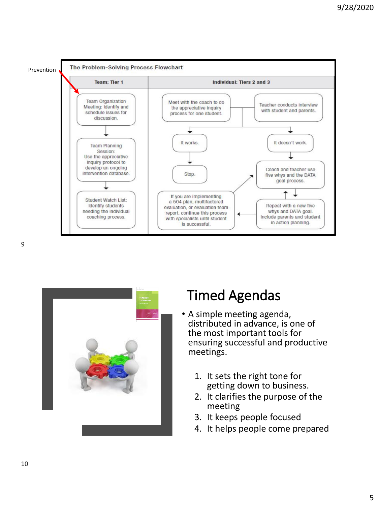



#### Timed Agendas

- A simple meeting agenda, distributed in advance, is one of the most important tools for ensuring successful and productive meetings.
	- 1. It sets the right tone for getting down to business.
	- 2. It clarifies the purpose of the meeting
	- 3. It keeps people focused
	- 4. It helps people come prepared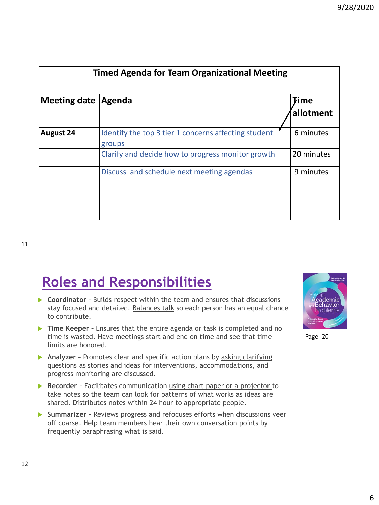| <b>Timed Agenda for Team Organizational Meeting</b> |                                                                |                   |  |  |  |
|-----------------------------------------------------|----------------------------------------------------------------|-------------------|--|--|--|
| <b>Meeting date</b>                                 | Agenda                                                         | Time<br>allotment |  |  |  |
| <b>August 24</b>                                    | Identify the top 3 tier 1 concerns affecting student<br>groups | 6 minutes         |  |  |  |
|                                                     | Clarify and decide how to progress monitor growth              | 20 minutes        |  |  |  |
|                                                     | Discuss and schedule next meeting agendas                      | 9 minutes         |  |  |  |
|                                                     |                                                                |                   |  |  |  |
|                                                     |                                                                |                   |  |  |  |

# **Roles and Responsibilities**

- ▶ Coordinator **-** Builds respect within the team and ensures that discussions stay focused and detailed. Balances talk so each person has an equal chance to contribute.
- **Time Keeper** Ensures that the entire agenda or task is completed and no time is wasted. Have meetings start and end on time and see that time limits are honored.
- **►** Analyzer **-** Promotes clear and specific action plans by asking clarifying questions as stories and ideas for interventions, accommodations, and progress monitoring are discussed.
- **Recorder -** Facilitates communication using chart paper or a projector to take notes so the team can look for patterns of what works as ideas are shared. Distributes notes within 24 hour to appropriate people**.**
- **Summarizer -** Reviews progress and refocuses efforts when discussions veer off coarse. Help team members hear their own conversation points by frequently paraphrasing what is said.



Page 20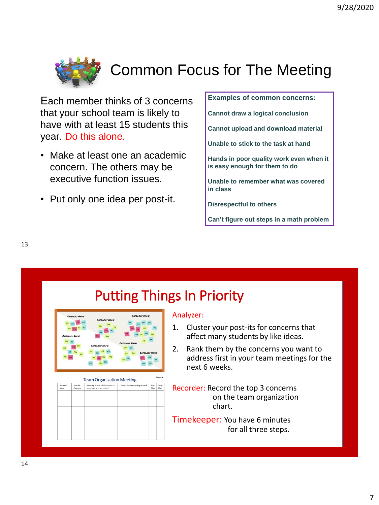

Each member thinks of 3 concerns that your school team is likely to have with at least 15 students this year. Do this alone.

- Make at least one an academic concern. The others may be executive function issues.
- Put only one idea per post-it.

**Examples of common concerns:**

**Cannot draw a logical conclusion**

**Cannot upload and download material**

**Unable to stick to the task at hand**

**Hands in poor quality work even when it is easy enough for them to do**

**Unable to remember what was covered in class**

**Disrespectful to others**

**Can't figure out steps in a math problem**

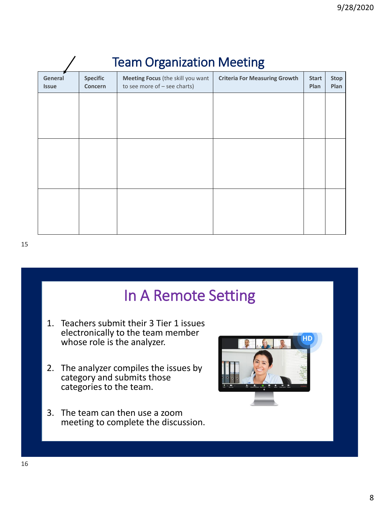| <b>Team Organization Meeting</b> |                            |                                                                     |                                      |                      |                     |  |  |  |
|----------------------------------|----------------------------|---------------------------------------------------------------------|--------------------------------------|----------------------|---------------------|--|--|--|
| General<br><b>Issue</b>          | <b>Specific</b><br>Concern | Meeting Focus (the skill you want<br>to see more of $-$ see charts) | <b>Criteria For Measuring Growth</b> | <b>Start</b><br>Plan | <b>Stop</b><br>Plan |  |  |  |
|                                  |                            |                                                                     |                                      |                      |                     |  |  |  |
|                                  |                            |                                                                     |                                      |                      |                     |  |  |  |
|                                  |                            |                                                                     |                                      |                      |                     |  |  |  |
|                                  |                            |                                                                     |                                      |                      |                     |  |  |  |
|                                  |                            |                                                                     |                                      |                      |                     |  |  |  |
|                                  |                            |                                                                     |                                      |                      |                     |  |  |  |

## In A Remote Setting

- 1. Teachers submit their 3 Tier 1 issues electronically to the team member whose role is the analyzer.
- 2. The analyzer compiles the issues by category and submits those categories to the team.
- 3. The team can then use a zoom meeting to complete the discussion.

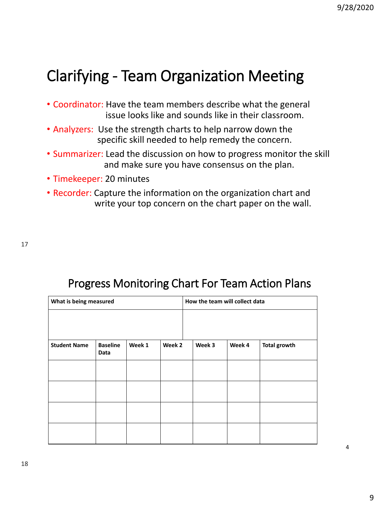# Clarifying - Team Organization Meeting

- Coordinator: Have the team members describe what the general issue looks like and sounds like in their classroom.
- Analyzers: Use the strength charts to help narrow down the specific skill needed to help remedy the concern.
- Summarizer: Lead the discussion on how to progress monitor the skill and make sure you have consensus on the plan.
- Timekeeper: 20 minutes
- Recorder: Capture the information on the organization chart and write your top concern on the chart paper on the wall.

17

| What is being measured |                         |        |        | How the team will collect data |        |                     |
|------------------------|-------------------------|--------|--------|--------------------------------|--------|---------------------|
| <b>Student Name</b>    | <b>Baseline</b><br>Data | Week 1 | Week 2 | Week 3                         | Week 4 | <b>Total growth</b> |
|                        |                         |        |        |                                |        |                     |
|                        |                         |        |        |                                |        |                     |
|                        |                         |        |        |                                |        |                     |
|                        |                         |        |        |                                |        |                     |

#### Progress Monitoring Chart For Team Action Plans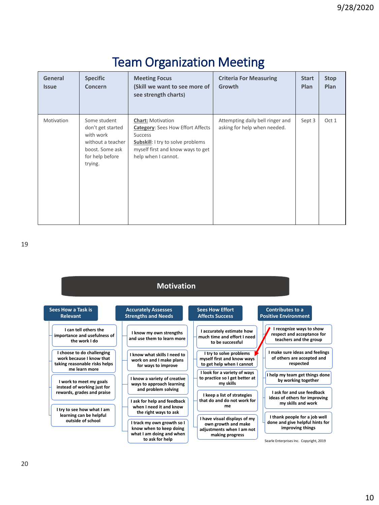| General<br><b>Issue</b> | <b>Specific</b><br>Concern                                                                                           | <b>Meeting Focus</b><br>(Skill we want to see more of<br>see strength charts)                                                                                                           | <b>Criteria For Measuring</b><br>Growth                          | <b>Start</b><br>Plan | <b>Stop</b><br>Plan |
|-------------------------|----------------------------------------------------------------------------------------------------------------------|-----------------------------------------------------------------------------------------------------------------------------------------------------------------------------------------|------------------------------------------------------------------|----------------------|---------------------|
| Motivation              | Some student<br>don't get started<br>with work<br>without a teacher<br>boost. Some ask<br>for help before<br>trying. | <b>Chart: Motivation</b><br><b>Category:</b> Sees How Effort Affects<br><b>Success</b><br>Subskill: I try to solve problems<br>myself first and know ways to get<br>help when I cannot. | Attempting daily bell ringer and<br>asking for help when needed. | Sept 3               | Oct 1               |

| <b>Motivation</b>                                                                                                                                    |                                                                                                     |                                                                                                                                 |                                                                                     |  |  |  |  |
|------------------------------------------------------------------------------------------------------------------------------------------------------|-----------------------------------------------------------------------------------------------------|---------------------------------------------------------------------------------------------------------------------------------|-------------------------------------------------------------------------------------|--|--|--|--|
| Sees How a Task is<br><b>Relevant</b>                                                                                                                | <b>Accurately Assesses</b><br><b>Strengths and Needs</b>                                            | <b>Sees How Effort</b><br><b>Affects Success</b>                                                                                | <b>Contributes to a</b><br><b>Positive Environment</b>                              |  |  |  |  |
| I can tell others the<br>importance and usefulness of<br>the work I do                                                                               | I know my own strengths<br>and use them to learn more                                               | I accurately estimate how<br>much time and effort I need<br>to be successful                                                    | I recognize ways to show<br>respect and acceptance for<br>teachers and the group    |  |  |  |  |
| I choose to do challenging<br>work because I know that<br>taking reasonable risks helps<br>me learn more                                             | I know what skills I need to<br>work on and I make plans<br>for ways to improve                     | I try to solve problems<br>myself first and know ways<br>to get help when I cannot                                              | I make sure ideas and feelings<br>of others are accepted and<br>respected           |  |  |  |  |
| I work to meet my goals<br>instead of working just for<br>rewards, grades and praise                                                                 | I know a variety of creative<br>ways to approach learning<br>and problem solving                    | I look for a variety of ways<br>to practice so I get better at<br>my skills<br>I keep a list of strategies                      | I help my team get things done<br>by working together<br>I ask for and use feedback |  |  |  |  |
| I try to see how what I am                                                                                                                           | I ask for help and feedback<br>when I need it and know<br>the right ways to ask                     | that do and do not work for<br>me                                                                                               | ideas of others for improving<br>my skills and work                                 |  |  |  |  |
| learning can be helpful<br>outside of school<br>I track my own growth so I<br>know when to keep doing<br>what I am doing and when<br>to ask for help | I have visual displays of my<br>own growth and make<br>adjustments when I am not<br>making progress | I thank people for a job well<br>done and give helpful hints for<br>improving things<br>Searle Enterprises Inc. Copyright, 2019 |                                                                                     |  |  |  |  |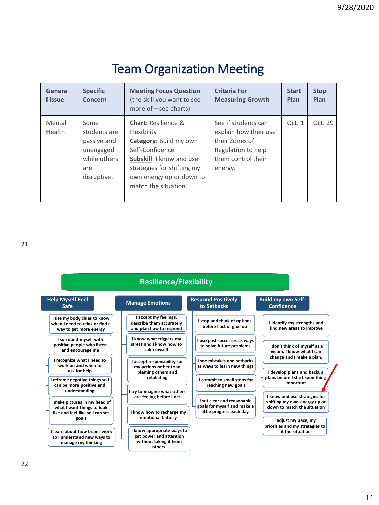| Genera<br>I Issue | <b>Specific</b><br>Concern                                                             | <b>Meeting Focus Question</b><br>(the skill you want to see<br>more of $-$ see charts)                                                                                                                          | <b>Criteria For</b><br><b>Measuring Growth</b>                                                                        | <b>Start</b><br>Plan | <b>Stop</b><br>Plan |
|-------------------|----------------------------------------------------------------------------------------|-----------------------------------------------------------------------------------------------------------------------------------------------------------------------------------------------------------------|-----------------------------------------------------------------------------------------------------------------------|----------------------|---------------------|
| Mental<br>Health  | Some<br>students are<br>passive and<br>unengaged<br>while others<br>are<br>disruptive. | <b>Chart: Resilience &amp;</b><br>Flexibility<br>Category: Build my own<br>Self-Confidence<br><b>Subskill:</b> I know and use<br>strategies for shifting my<br>own energy up or down to<br>match the situation. | See if students can<br>explain how their use<br>their Zones of<br>Regulation to help<br>them control their<br>energy. | Oct.1                | Oct. 29             |

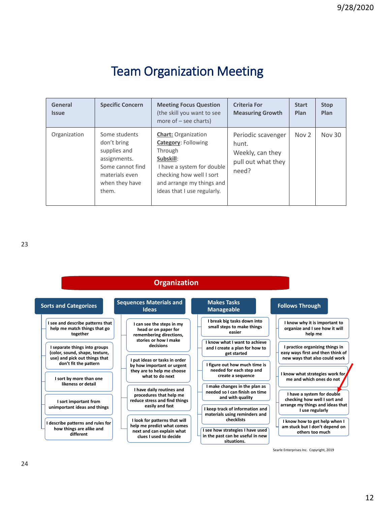| General<br><b>Issue</b> | <b>Specific Concern</b>                                                                                                       | <b>Meeting Focus Question</b><br>(the skill you want to see<br>more of $-$ see charts)                                                                                                                 | <b>Criteria For</b><br><b>Measuring Growth</b>                                 | <b>Start</b><br>Plan | <b>Stop</b><br>Plan |
|-------------------------|-------------------------------------------------------------------------------------------------------------------------------|--------------------------------------------------------------------------------------------------------------------------------------------------------------------------------------------------------|--------------------------------------------------------------------------------|----------------------|---------------------|
| Organization            | Some students<br>don't bring<br>supplies and<br>assignments.<br>Some cannot find<br>materials even<br>when they have<br>them. | <b>Chart: Organization</b><br><b>Category: Following</b><br>Through<br>Subskill:<br>I have a system for double<br>checking how well I sort<br>and arrange my things and<br>ideas that I use regularly. | Periodic scavenger<br>hunt.<br>Weekly, can they<br>pull out what they<br>need? | Nov <sub>2</sub>     | Nov 30              |

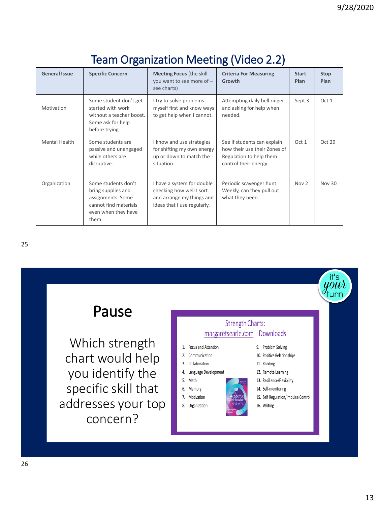| <b>General Issue</b> | <b>Specific Concern</b>                                                                                                 | <b>Meeting Focus (the skill</b><br>you want to see more of -<br>see charts)                                        | <b>Criteria For Measuring</b><br>Growth                                                                         | <b>Start</b><br>Plan | <b>Stop</b><br>Plan |
|----------------------|-------------------------------------------------------------------------------------------------------------------------|--------------------------------------------------------------------------------------------------------------------|-----------------------------------------------------------------------------------------------------------------|----------------------|---------------------|
| Motivation           | Some student don't get<br>started with work<br>without a teacher boost.<br>Some ask for help<br>before trying.          | I try to solve problems<br>myself first and know ways<br>to get help when I cannot.                                | Attempting daily bell ringer<br>and asking for help when<br>needed.                                             | Sept 3               | Oct 1               |
| Mental Health        | Some students are<br>passive and unengaged<br>while others are<br>disruptive.                                           | I know and use strategies<br>for shifting my own energy<br>up or down to match the<br>situation                    | See if students can explain<br>how their use their Zones of<br>Regulation to help them<br>control their energy. | Oct 1                | Oct 29              |
| Organization         | Some students don't<br>bring supplies and<br>assignments. Some<br>cannot find materials<br>even when they have<br>them. | I have a system for double<br>checking how well I sort<br>and arrange my things and<br>ideas that I use regularly. | Periodic scavenger hunt.<br>Weekly, can they pull out<br>what they need.                                        | Now 2                | Nov 30              |

#### Team Organization Meeting (Video 2.2)